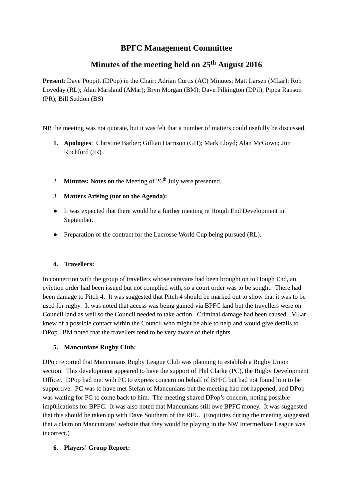# **BPFC Management Committee**

# **Minutes of the meeting held on 25 th August 2016**

**Present**: Dave Poppitt (DPop) in the Chair; Adrian Curtis (AC) Minutes; Matt Larsen (MLar); Rob Loveday (RL); Alan Marsland (AMar); Bryn Morgan (BM); Dave Pilkington (DPil); Pippa Ranson (PR); Bill Seddon (BS)

NB the meeting was not quorate, but it was felt that a number of matters could usefully be discussed.

- **Apologies**: Christine Barber; Gillian Harrison (GH); Mark Lloyd; Alan McGown; Jim **1.** Rochford (JR)
- 2. **Minutes: Notes on** the Meeting of 26<sup>th</sup> July were presented.
- 3. **Matters Arising (not on the Agenda):**
- It was expected that there would be a further meeting re Hough End Development in September.  $\bullet$
- Preparation of the contract for the Lacrosse World Cup being pursued (RL).

## **4. Travellers:**

In connection with the group of travellers whose caravans had been brought on to Hough End, an eviction order had been issued but not complied with, so a court order was to be sought. There had been damage to Pitch 4. It was suggested that Pitch 4 should be marked out to show that it was to be used for rugby. It was noted that access was being gained via BPFC land but the travellers were on Council land as well so the Council needed to take action. Criminal damage had been caused. MLar knew of a possible contact within the Council who might be able to help and would give details to DPop. BM noted that the travellers tend to be very aware of their rights.

## **5. Mancunians Rugby Club:**

DPop reported that Mancunians Rugby League Club was planning to establish a Rugby Union section. This development appeared to have the support of Phil Clarke (PC), the Rugby Development Officer. DPop had met with PC to express concern on behalf of BPFC but had not found him to be supportive. PC was to have met Stefan of Mancunians but the meeting had not happened, and DPop was waiting for PC to come back to him. The meeting shared DPop's concern, noting possible imp0lications for BPFC. It was also noted that Mancunians still owe BPFC money. It was suggested that this should be taken up with Dave Southern of the RFU. (Enquiries during the meeting suggested that a claim on Mancunians' website that they would be playing in the NW Intermediate League was incorrect.)

## **6. Players' Group Report:**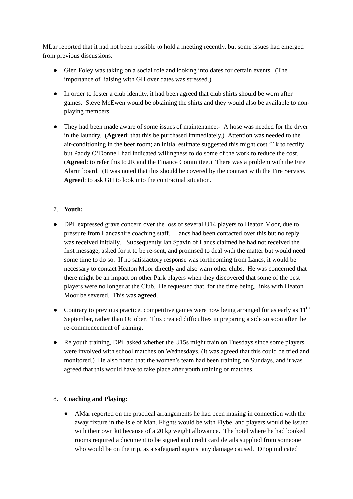MLar reported that it had not been possible to hold a meeting recently, but some issues had emerged from previous discussions.

- Glen Foley was taking on a social role and looking into dates for certain events. (The importance of liaising with GH over dates was stressed.)
- In order to foster a club identity, it had been agreed that club shirts should be worn after games. Steve McEwen would be obtaining the shirts and they would also be available to nonplaying members.
- They had been made aware of some issues of maintenance:- A hose was needed for the dryer in the laundry. (**Agreed**: that this be purchased immediately.) Attention was needed to the air-conditioning in the beer room; an initial estimate suggested this might cost  $E1k$  to rectify but Paddy O'Donnell had indicated willingness to do some of the work to reduce the cost. (**Agreed**: to refer this to JR and the Finance Committee.) There was a problem with the Fire Alarm board. (It was noted that this should be covered by the contract with the Fire Service. **Agreed**: to ask GH to look into the contractual situation.

## 7. **Youth:**

- DPil expressed grave concern over the loss of several U14 players to Heaton Moor, due to pressure from Lancashire coaching staff. Lancs had been contacted over this but no reply was received initially. Subsequently Ian Spavin of Lancs claimed he had not received the first message, asked for it to be re-sent, and promised to deal with the matter but would need some time to do so. If no satisfactory response was forthcoming from Lancs, it would be necessary to contact Heaton Moor directly and also warn other clubs. He was concerned that there might be an impact on other Park players when they discovered that some of the best players were no longer at the Club. He requested that, for the time being, links with Heaton Moor be severed. This was **agreed**.
- Contrary to previous practice, competitive games were now being arranged for as early as  $11<sup>th</sup>$ September, rather than October. This created difficulties in preparing a side so soon after the re-commencement of training.
- Re youth training, DPil asked whether the U15s might train on Tuesdays since some players were involved with school matches on Wednesdays. (It was agreed that this could be tried and monitored.) He also noted that the women's team had been training on Sundays, and it was agreed that this would have to take place after youth training or matches.

#### 8. **Coaching and Playing:**

• AMar reported on the practical arrangements he had been making in connection with the away fixture in the Isle of Man. Flights would be with Flybe, and players would be issued with their own kit because of a 20 kg weight allowance. The hotel where he had booked rooms required a document to be signed and credit card details supplied from someone who would be on the trip, as a safeguard against any damage caused. DPop indicated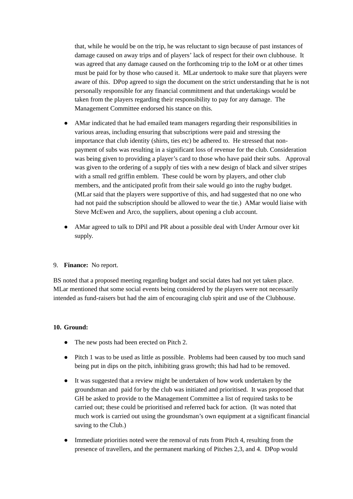that, while he would be on the trip, he was reluctant to sign because of past instances of damage caused on away trips and of players' lack of respect for their own clubhouse. It was agreed that any damage caused on the forthcoming trip to the IoM or at other times must be paid for by those who caused it. MLar undertook to make sure that players were aware of this. DPop agreed to sign the document on the strict understanding that he is not personally responsible for any financial commitment and that undertakings would be taken from the players regarding their responsibility to pay for any damage. The Management Committee endorsed his stance on this.

- AMar indicated that he had emailed team managers regarding their responsibilities in various areas, including ensuring that subscriptions were paid and stressing the importance that club identity (shirts, ties etc) be adhered to. He stressed that nonpayment of subs was resulting in a significant loss of revenue for the club. Consideration was being given to providing a player's card to those who have paid their subs. Approval was given to the ordering of a supply of ties with a new design of black and silver stripes with a small red griffin emblem. These could be worn by players, and other club members, and the anticipated profit from their sale would go into the rugby budget. (MLar said that the players were supportive of this, and had suggested that no one who had not paid the subscription should be allowed to wear the tie.) AMar would liaise with Steve McEwen and Arco, the suppliers, about opening a club account.
- AMar agreed to talk to DPil and PR about a possible deal with Under Armour over kit supply.

#### 9. **Finance:** No report.

BS noted that a proposed meeting regarding budget and social dates had not yet taken place. MLar mentioned that some social events being considered by the players were not necessarily intended as fund-raisers but had the aim of encouraging club spirit and use of the Clubhouse.

#### **10. Ground:**

- The new posts had been erected on Pitch 2.
- Pitch 1 was to be used as little as possible. Problems had been caused by too much sand being put in dips on the pitch, inhibiting grass growth; this had had to be removed.  $\bullet$
- It was suggested that a review might be undertaken of how work undertaken by the groundsman and paid for by the club was initiated and prioritised. It was proposed that GH be asked to provide to the Management Committee a list of required tasks to be carried out; these could be prioritised and referred back for action. (It was noted that much work is carried out using the groundsman's own equipment at a significant financial saving to the Club.) ●
- Immediate priorities noted were the removal of ruts from Pitch 4, resulting from the presence of travellers, and the permanent marking of Pitches 2,3, and 4. DPop would